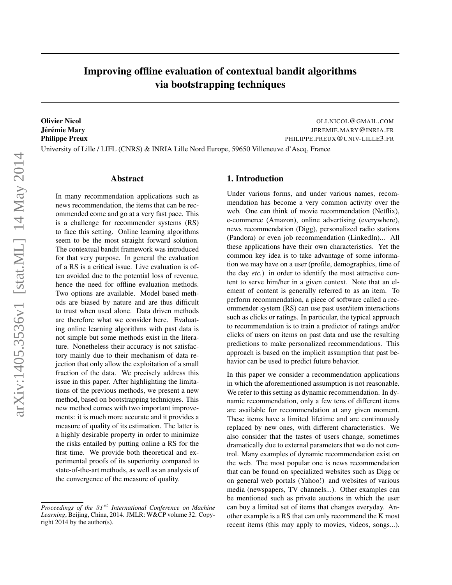# Improving offline evaluation of contextual bandit algorithms via bootstrapping techniques

Olivier Nicol OLI.NICOL@GMAIL.COM Jerémie Mary Theory of The Mary Annual State of the Mary American State of The Mary Theory of The Mary American State of The Mary American State of The Mary American State of The Mary American State of The Mary American St Philippe Preux **Philippe Preux** PHILIPPE.PREUX @UNIV-LILLE3.FR University of Lille / LIFL (CNRS) & INRIA Lille Nord Europe, 59650 Villeneuve d'Ascq, France

#### Abstract

In many recommendation applications such as news recommendation, the items that can be recommended come and go at a very fast pace. This is a challenge for recommender systems (RS) to face this setting. Online learning algorithms seem to be the most straight forward solution. The contextual bandit framework was introduced for that very purpose. In general the evaluation of a RS is a critical issue. Live evaluation is often avoided due to the potential loss of revenue, hence the need for offline evaluation methods. Two options are available. Model based methods are biased by nature and are thus difficult to trust when used alone. Data driven methods are therefore what we consider here. Evaluating online learning algorithms with past data is not simple but some methods exist in the literature. Nonetheless their accuracy is not satisfactory mainly due to their mechanism of data rejection that only allow the exploitation of a small fraction of the data. We precisely address this issue in this paper. After highlighting the limitations of the previous methods, we present a new method, based on bootstrapping techniques. This new method comes with two important improvements: it is much more accurate and it provides a measure of quality of its estimation. The latter is a highly desirable property in order to minimize the risks entailed by putting online a RS for the first time. We provide both theoretical and experimental proofs of its superiority compared to state-of-the-art methods, as well as an analysis of the convergence of the measure of quality.

## 1. Introduction

Under various forms, and under various names, recommendation has become a very common activity over the web. One can think of movie recommendation (Netflix), e-commerce (Amazon), online advertising (everywhere), news recommendation (Digg), personalized radio stations (Pandora) or even job recommendation (LinkedIn)... All these applications have their own characteristics. Yet the common key idea is to take advantage of some information we may have on a user (profile, demographics, time of the day *etc.*) in order to identify the most attractive content to serve him/her in a given context. Note that an element of content is generally referred to as an item. To perform recommendation, a piece of software called a recommender system (RS) can use past user/item interactions such as clicks or ratings. In particular, the typical approach to recommendation is to train a predictor of ratings and/or clicks of users on items on past data and use the resulting predictions to make personalized recommendations. This approach is based on the implicit assumption that past behavior can be used to predict future behavior.

In this paper we consider a recommendation applications in which the aforementioned assumption is not reasonable. We refer to this setting as dynamic recommendation. In dynamic recommendation, only a few tens of different items are available for recommendation at any given moment. These items have a limited lifetime and are continuously replaced by new ones, with different characteristics. We also consider that the tastes of users change, sometimes dramatically due to external parameters that we do not control. Many examples of dynamic recommendation exist on the web. The most popular one is news recommendation that can be found on specialized websites such as Digg or on general web portals (Yahoo!) and websites of various media (newspapers, TV channels...). Other examples can be mentioned such as private auctions in which the user can buy a limited set of items that changes everyday. Another example is a RS that can only recommend the K most recent items (this may apply to movies, videos, songs...).

*Proceedings of the 31<sup>st</sup> International Conference on Machine Learning*, Beijing, China, 2014. JMLR: W&CP volume 32. Copyright 2014 by the author(s).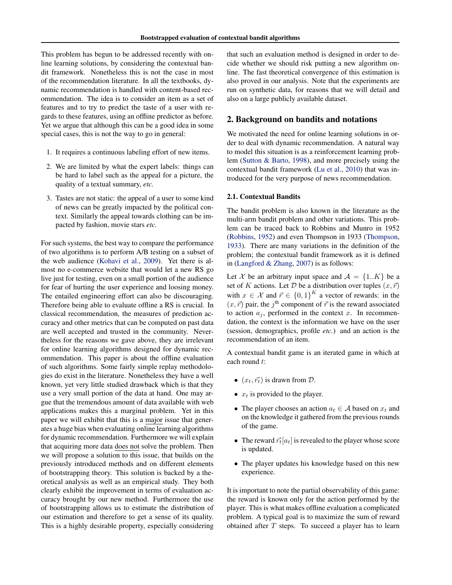<span id="page-1-0"></span>This problem has begun to be addressed recently with online learning solutions, by considering the contextual bandit framework. Nonetheless this is not the case in most of the recommendation literature. In all the textbooks, dynamic recommendation is handled with content-based recommendation. The idea is to consider an item as a set of features and to try to predict the taste of a user with regards to these features, using an offline predictor as before. Yet we argue that although this can be a good idea in some special cases, this is not the way to go in general:

- 1. It requires a continuous labeling effort of new items.
- 2. We are limited by what the expert labels: things can be hard to label such as the appeal for a picture, the quality of a textual summary, *etc.*
- 3. Tastes are not static: the appeal of a user to some kind of news can be greatly impacted by the political context. Similarly the appeal towards clothing can be impacted by fashion, movie stars *etc.*

For such systems, the best way to compare the performance of two algorithms is to perform A/B testing on a subset of the web audience [\(Kohavi et al.,](#page-8-0) [2009\)](#page-8-0). Yet there is almost no e-commerce website that would let a new RS go live just for testing, even on a small portion of the audience for fear of hurting the user experience and loosing money. The entailed engineering effort can also be discouraging. Therefore being able to evaluate offline a RS is crucial. In classical recommendation, the measures of prediction accuracy and other metrics that can be computed on past data are well accepted and trusted in the community. Nevertheless for the reasons we gave above, they are irrelevant for online learning algorithms designed for dynamic recommendation. This paper is about the offline evaluation of such algorithms. Some fairly simple replay methodologies do exist in the literature. Nonetheless they have a well known, yet very little studied drawback which is that they use a very small portion of the data at hand. One may argue that the tremendous amount of data available with web applications makes this a marginal problem. Yet in this paper we will exhibit that this is a major issue that generates a huge bias when evaluating online learning algorithms for dynamic recommendation. Furthermore we will explain that acquiring more data does not solve the problem. Then we will propose a solution to this issue, that builds on the previously introduced methods and on different elements of bootstrapping theory. This solution is backed by a theoretical analysis as well as an empirical study. They both clearly exhibit the improvement in terms of evaluation accuracy brought by our new method. Furthermore the use of bootstrapping allows us to estimate the distribution of our estimation and therefore to get a sense of its quality. This is a highly desirable property, especially considering

that such an evaluation method is designed in order to decide whether we should risk putting a new algorithm online. The fast theoretical convergence of this estimation is also proved in our analysis. Note that the experiments are run on synthetic data, for reasons that we will detail and also on a large publicly available dataset.

#### 2. Background on bandits and notations

We motivated the need for online learning solutions in order to deal with dynamic recommendation. A natural way to model this situation is as a reinforcement learning problem [\(Sutton & Barto,](#page-8-0) [1998\)](#page-8-0), and more precisely using the contextual bandit framework [\(Lu et al.,](#page-8-0) [2010\)](#page-8-0) that was introduced for the very purpose of news recommendation.

#### 2.1. Contextual Bandits

The bandit problem is also known in the literature as the multi-arm bandit problem and other variations. This problem can be traced back to Robbins and Munro in 1952 [\(Robbins,](#page-8-0) [1952\)](#page-8-0) and even Thompson in 1933 [\(Thompson,](#page-8-0) [1933\)](#page-8-0). There are many variations in the definition of the problem; the contextual bandit framework as it is defined in [\(Langford & Zhang,](#page-8-0) [2007\)](#page-8-0) is as follows:

Let X be an arbitrary input space and  $A = \{1..K\}$  be a set of K actions. Let D be a distribution over tuples  $(x, \vec{r})$ with  $x \in \mathcal{X}$  and  $\vec{r} \in \{0,1\}^K$  a vector of rewards: in the  $(x, \vec{r})$  pair, the j<sup>th</sup> component of  $\vec{r}$  is the reward associated to action  $a_j$ , performed in the context x. In recommendation, the context is the information we have on the user (session, demographics, profile *etc.*) and an action is the recommendation of an item.

A contextual bandit game is an iterated game in which at each round t:

- $(x_t, \vec{r_t})$  is drawn from  $\mathcal{D}$ .
- $x_t$  is provided to the player.
- The player chooses an action  $a_t \in A$  based on  $x_t$  and on the knowledge it gathered from the previous rounds of the game.
- The reward  $\vec{r}_t[a_t]$  is revealed to the player whose score is updated.
- The player updates his knowledge based on this new experience.

It is important to note the partial observability of this game: the reward is known only for the action performed by the player. This is what makes offline evaluation a complicated problem. A typical goal is to maximize the sum of reward obtained after  $T$  steps. To succeed a player has to learn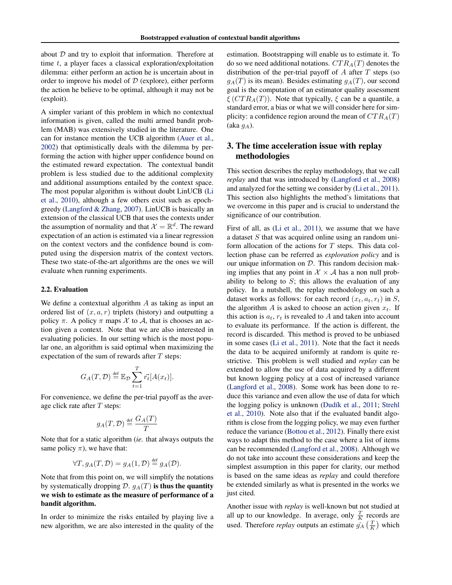about  $D$  and try to exploit that information. Therefore at time t, a player faces a classical exploration/exploitation dilemma: either perform an action he is uncertain about in order to improve his model of  $D$  (explore), either perform the action he believe to be optimal, although it may not be (exploit).

A simpler variant of this problem in which no contextual information is given, called the multi armed bandit problem (MAB) was extensively studied in the literature. One can for instance mention the UCB algorithm [\(Auer et al.,](#page-8-0) [2002\)](#page-8-0) that optimistically deals with the dilemma by performing the action with higher upper confidence bound on the estimated reward expectation. The contextual bandit problem is less studied due to the additional complexity and additional assumptions entailed by the context space. The most popular algorithm is without doubt LinUCB [\(Li](#page-8-0) [et al.,](#page-8-0) [2010\)](#page-8-0), although a few others exist such as epochgreedy [\(Langford & Zhang,](#page-8-0) [2007\)](#page-8-0). LinUCB is basically an extension of the classical UCB that uses the contexts under the assumption of normality and that  $\mathcal{X} = \mathbb{R}^d$ . The reward expectation of an action is estimated via a linear regression on the context vectors and the confidence bound is computed using the dispersion matrix of the context vectors. These two state-of-the-art algorithms are the ones we will evaluate when running experiments.

#### 2.2. Evaluation

We define a contextual algorithm  $A$  as taking as input an ordered list of  $(x, a, r)$  triplets (history) and outputting a policy  $\pi$ . A policy  $\pi$  maps  $\mathcal X$  to  $\mathcal A$ , that is chooses an action given a context. Note that we are also interested in evaluating policies. In our setting which is the most popular one, an algorithm is said optimal when maximizing the expectation of the sum of rewards after  $T$  steps:

$$
G_A(T, \mathcal{D}) \stackrel{\text{def}}{=} \mathbb{E}_{\mathcal{D}} \sum_{t=1}^T \vec{r_t} [A(x_t)].
$$

For convenience, we define the per-trial payoff as the average click rate after  $T$  steps:

$$
g_A(T, \mathcal{D}) \stackrel{\text{def}}{=} \frac{G_A(T)}{T}
$$

Note that for a static algorithm (*ie.* that always outputs the same policy  $\pi$ ), we have that:

$$
\forall T, g_A(T, \mathcal{D}) = g_A(1, \mathcal{D}) \stackrel{\text{def}}{=} g_A(\mathcal{D}).
$$

Note that from this point on, we will simplify the notations by systematically dropping D.  $g_A(T)$  is thus the quantity we wish to estimate as the measure of performance of a bandit algorithm.

In order to minimize the risks entailed by playing live a new algorithm, we are also interested in the quality of the estimation. Bootstrapping will enable us to estimate it. To do so we need additional notations.  $CTR_A(T)$  denotes the distribution of the per-trial payoff of  $A$  after  $T$  steps (so  $g_A(T)$  is its mean). Besides estimating  $g_A(T)$ , our second goal is the computation of an estimator quality assessment  $\zeta$  (CTR<sub>A</sub>(T)). Note that typically,  $\zeta$  can be a quantile, a standard error, a bias or what we will consider here for simplicity: a confidence region around the mean of  $CTR_A(T)$  $(\text{aka } g_A).$ 

# 3. The time acceleration issue with replay methodologies

This section describes the replay methodology, that we call *replay* and that was introduced by [\(Langford et al.,](#page-8-0) [2008\)](#page-8-0) and analyzed for the setting we consider by [\(Li et al.,](#page-8-0) [2011\)](#page-8-0). This section also highlights the method's limitations that we overcome in this paper and is crucial to understand the significance of our contribution.

First of all, as [\(Li et al.,](#page-8-0) [2011\)](#page-8-0), we assume that we have a dataset S that was acquired online using an random uniform allocation of the actions for  $T$  steps. This data collection phase can be referred as *exploration policy* and is our unique information on  $D$ . This random decision making implies that any point in  $\mathcal{X} \times \mathcal{A}$  has a non null probability to belong to  $S$ ; this allows the evaluation of any policy. In a nutshell, the replay methodology on such a dataset works as follows: for each record  $(x_t, a_t, r_t)$  in S, the algorithm A is asked to choose an action given  $x_t$ . If this action is  $a_t$ ,  $r_t$  is revealed to A and taken into account to evaluate its performance. If the action is different, the record is discarded. This method is proved to be unbiased in some cases [\(Li et al.,](#page-8-0) [2011\)](#page-8-0). Note that the fact it needs the data to be acquired uniformly at random is quite restrictive. This problem is well studied and *replay* can be extended to allow the use of data acquired by a different but known logging policy at a cost of increased variance [\(Langford et al.,](#page-8-0) [2008\)](#page-8-0). Some work has been done to reduce this variance and even allow the use of data for which the logging policy is unknown (Dudík et al., [2011;](#page-8-0) [Strehl](#page-8-0) [et al.,](#page-8-0) [2010\)](#page-8-0). Note also that if the evaluated bandit algorithm is close from the logging policy, we may even further reduce the variance [\(Bottou et al.,](#page-8-0) [2012\)](#page-8-0). Finally there exist ways to adapt this method to the case where a list of items can be recommended [\(Langford et al.,](#page-8-0) [2008\)](#page-8-0). Although we do not take into account these considerations and keep the simplest assumption in this paper for clarity, our method is based on the same ideas as *replay* and could therefore be extended similarly as what is presented in the works we just cited.

Another issue with *replay* is well-known but not studied at all up to our knowledge. In average, only  $\frac{T}{K}$  records are used. Therefore *replay* outputs an estimate  $\hat{g}_A \left(\frac{T}{K}\right)$  which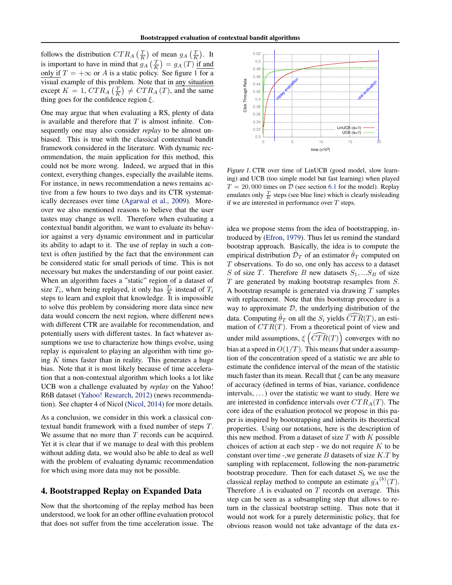follows the distribution  $CTR_A \left(\frac{T}{K}\right)$  of mean  $g_A \left(\frac{T}{K}\right)$ . It is important to have in mind that  $g_A\left(\frac{T}{K}\right) = g_A(T)$  if and only if  $T = +\infty$  or A is a static policy. See figure 1 for a visual example of this problem. Note that in any situation except  $K = 1$ ,  $CTR_A \left(\frac{T}{K}\right) \neq CTR_A(T)$ , and the same thing goes for the confidence region  $\xi$ .

One may argue that when evaluating a RS, plenty of data is available and therefore that  $T$  is almost infinite. Consequently one may also consider *replay* to be almost unbiased. This is true with the classical contextual bandit framework considered in the literature. With dynamic recommendation, the main application for this method, this could not be more wrong. Indeed, we argued that in this context, everything changes, especially the available items. For instance, in news recommendation a news remains active from a few hours to two days and its CTR systematically decreases over time [\(Agarwal et al.,](#page-8-0) [2009\)](#page-8-0). Moreover we also mentioned reasons to believe that the user tastes may change as well. Therefore when evaluating a contextual bandit algorithm, we want to evaluate its behavior against a very dynamic environment and in particular its ability to adapt to it. The use of replay in such a context is often justified by the fact that the environment can be considered static for small periods of time. This is not necessary but makes the understanding of our point easier. When an algorithm faces a "static" region of a dataset of size  $T_i$ , when being replayed, it only has  $\frac{T_i}{K}$  instead of  $T_i$ steps to learn and exploit that knowledge. It is impossible to solve this problem by considering more data since new data would concern the next region, where different news with different CTR are available for recommendation, and potentially users with different tastes. In fact whatever assumptions we use to characterize how things evolve, using replay is equivalent to playing an algorithm with time going  $K$  times faster than in reality. This generates a huge bias. Note that it is most likely because of time acceleration that a non-contextual algorithm which looks a lot like UCB won a challenge evaluated by *replay* on the Yahoo! R6B dataset [\(Yahoo! Research,](#page-8-0) [2012\)](#page-8-0) (news recommendation). See chapter 4 of Nicol [\(Nicol,](#page-8-0) [2014\)](#page-8-0) for more details.

As a conclusion, we consider in this work a classical contextual bandit framework with a fixed number of steps T. We assume that no more than  $T$  records can be acquired. Yet it is clear that if we manage to deal with this problem without adding data, we would also be able to deal as well with the problem of evaluating dynamic recommendation for which using more data may not be possible.

# 4. Bootstrapped Replay on Expanded Data

Now that the shortcoming of the replay method has been understood, we look for an other offline evaluation protocol that does not suffer from the time acceleration issue. The



Figure 1. CTR over time of LinUCB (good model, slow learning) and UCB (too simple model but fast learning) when played  $T = 20,000$  times on  $D$  (see section [6.1](#page-6-0) for the model). Replay emulates only  $\frac{T}{K}$  steps (see blue line) which is clearly misleading if we are interested in performance over  $T$  steps.

idea we propose stems from the idea of bootstrapping, introduced by [\(Efron,](#page-8-0) [1979\)](#page-8-0). Thus let us remind the standard bootstrap approach. Basically, the idea is to compute the empirical distribution  $\hat{\mathcal{D}}_T$  of an estimator  $\hat{\theta}_T$  computed on T observations. To do so, one only has access to a dataset S of size T. Therefore B new datasets  $S_1,...S_B$  of size  $T$  are generated by making bootstrap resamples from  $S$ . A bootstrap resample is generated via drawing  $T$  samples with replacement. Note that this bootstrap procedure is a way to approximate  $D$ , the underlying distribution of the data. Computing  $\hat{\theta}_T$  on all the  $S_i$  yields  $\widehat{CTR}(T)$ , an estimation of  $CTR(T)$ . From a theoretical point of view and under mild assumptions,  $\xi(\widehat{CTR}(T))$  converges with no bias at a speed in  $O(1/T)$ . This means that under a assumption of the concentration speed of a statistic we are able to estimate the confidence interval of the mean of the statistic much faster than its mean. Recall that  $\xi$  can be any measure of accuracy (defined in terms of bias, variance, confidence intervals, ...) over the statistic we want to study. Here we are interested in confidence intervals over  $CTR_A(T)$ . The core idea of the evaluation protocol we propose in this paper is inspired by bootstrapping and inherits its theoretical properties. Using our notations, here is the description of this new method. From a dataset of size  $T$  with  $K$  possible choices of action at each step - we do not require  $K$  to be constant over time -,we generate  $B$  datasets of size  $K.T$  by sampling with replacement, following the non-parametric bootstrap procedure. Then for each dataset  $S_b$  we use the classical replay method to compute an estimate  $\hat{g_A}^{(b)}(T)$ . Therefore  $A$  is evaluated on  $T$  records on average. This step can be seen as a subsampling step that allows to return in the classical bootstrap setting. Thus note that it would not work for a purely deterministic policy, that for obvious reason would not take advantage of the data ex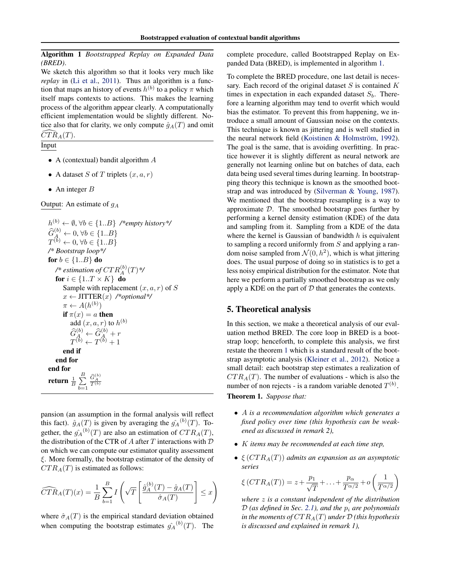<span id="page-4-0"></span>Algorithm 1 *Bootstrapped Replay on Expanded Data (BRED)*.

We sketch this algorithm so that it looks very much like *replay* in [\(Li et al.,](#page-8-0) [2011\)](#page-8-0). Thus an algorithm is a function that maps an history of events  $h^{(b)}$  to a policy  $\pi$  which itself maps contexts to actions. This makes the learning process of the algorithm appear clearly. A computationally efficient implementation would be slightly different. Notice also that for clarity, we only compute  $\hat{g}_A(T)$  and omit  $\widehat{CTR}_{A}(T)$ .

Input

- A (contextual) bandit algorithm A
- A dataset S of T triplets  $(x, a, r)$
- An integer  $B$

Output: An estimate of  $g_A$ 

$$
h^{(b)} \leftarrow \emptyset, \forall b \in \{1..B\} \quad \text{#empty history*} \quad \widehat{G}_A^{(b)} \leftarrow 0, \forall b \in \{1..B\} \quad \text{if } \widehat{G}_A^{(b)} \leftarrow 0, \forall b \in \{1..B\} \quad \text{if } \widehat{G}^{(b)} \leftarrow 0, \forall b \in \{1..B\} \quad \text{if } \widehat{G}^{(b)} \leftarrow 0, \forall b \in \{1..B\} \quad \text{if } \widehat{G}^{(b)} \leftarrow \text{if } \widehat{G}^{(b)} \leftarrow \text{if } \widehat{G}^{(b)} \leftarrow \text{if } \widehat{G}^{(b)} \leftarrow \text{if } \widehat{G}^{(b)} \leftarrow \text{if } \widehat{G}^{(b)} \leftarrow \text{if } \widehat{G}^{(b)} \leftarrow \text{if } \widehat{G}^{(b)} \rightarrow \text{if } \widehat{G}^{(b)} \leftarrow \widehat{G}^{(b)} \leftarrow \widehat{G}^{(b)} \leftarrow \widehat{G}^{(b)} \leftarrow \widehat{G}^{(b)} \leftarrow \widehat{G}^{(b)} \leftarrow \widehat{G}^{(b)} \leftarrow \widehat{G}^{(b)} \leftarrow \widehat{G}^{(b)} \leftarrow \widehat{G}^{(b)} \leftarrow \widehat{G}^{(b)} \leftarrow \widehat{G}^{(b)} \leftarrow \widehat{G}^{(b)} \leftarrow \widehat{G}^{(b)} \leftarrow \widehat{G}^{(b)} \leftarrow \widehat{G}^{(b)} \leftarrow \widehat{G}^{(b)} \leftarrow \widehat{G}^{(b)} \leftarrow \widehat{G}^{(b)} \leftarrow \widehat{G}^{(b)} \leftarrow \widehat{G}^{(b)} \leftarrow \widehat{G}^{(b)} \leftarrow \widehat{G}^{(b)} \leftarrow \widehat{G}^{(b)} \leftarrow \widehat{G}^{(b)} \leftarrow \widehat{G}^{(b)} \leftarrow \widehat{G}^{(b)} \rightarrow \widehat{G}^{(b)} \leftarrow \widehat{G}^{(b)} \leftarrow \widehat{G}^{(b)} \leftarrow \widehat{G}^{(b)} \leftarrow \widehat{G}^{(b)} \leftarrow \widehat{G}^{(b)} \leftarrow \widehat{G}^{(
$$

pansion (an assumption in the formal analysis will reflect this fact).  $\hat{g}_A(T)$  is given by averaging the  $\hat{g}_A^{(b)}(T)$ . Together, the  $\hat{g_A}^{(b)}(T)$  are also an estimation of  $CTR_A(T)$ , the distribution of the CTR of  $A$  after  $T$  interactions with  $D$ on which we can compute our estimator quality assessment ξ. More formally, the bootstrap estimator of the density of  $CTR<sub>A</sub>(T)$  is estimated as follows:

$$
\widehat{CTR}_{A}(T)(x) = \frac{1}{B} \sum_{b=1}^{B} I\left(\sqrt{T} \left[\frac{\hat{g}_{A}^{(b)}(T) - \hat{g}_{A}(T)}{\hat{\sigma}_{A}(T)}\right] \leq x\right)
$$

where  $\hat{\sigma}_A(T)$  is the empirical standard deviation obtained when computing the bootstrap estimates  $\hat{g_A}^{(b)}(T)$ . The complete procedure, called Bootstrapped Replay on Expanded Data (BRED), is implemented in algorithm 1.

To complete the BRED procedure, one last detail is necessary. Each record of the original dataset  $S$  is contained  $K$ times in expectation in each expanded dataset  $S_b$ . Therefore a learning algorithm may tend to overfit which would bias the estimator. To prevent this from happening, we introduce a small amount of Gaussian noise on the contexts. This technique is known as jittering and is well studied in the neural network field (Koistinen & Holmström, [1992\)](#page-8-0). The goal is the same, that is avoiding overfitting. In practice however it is slightly different as neural network are generally not learning online but on batches of data, each data being used several times during learning. In bootstrapping theory this technique is known as the smoothed bootstrap and was introduced by [\(Silverman & Young,](#page-8-0) [1987\)](#page-8-0). We mentioned that the bootstrap resampling is a way to approximate  $D$ . The smoothed bootstrap goes further by performing a kernel density estimation (KDE) of the data and sampling from it. Sampling from a KDE of the data where the kernel is Gaussian of bandwidth  $h$  is equivalent to sampling a record uniformly from  $S$  and applying a random noise sampled from  $\mathcal{N}(0, h^2)$ , which is what jittering does. The usual purpose of doing so in statistics is to get a less noisy empirical distribution for the estimator. Note that here we perform a partially smoothed bootstrap as we only apply a KDE on the part of  $D$  that generates the contexts.

# 5. Theoretical analysis

In this section, we make a theoretical analysis of our evaluation method BRED. The core loop in BRED is a bootstrap loop; henceforth, to complete this analysis, we first restate the theorem 1 which is a standard result of the bootstrap asymptotic analysis [\(Kleiner et al.,](#page-8-0) [2012\)](#page-8-0). Notice a small detail: each bootstrap step estimates a realization of  $CTR<sub>A</sub>(T)$ . The number of evaluations - which is also the number of non rejects - is a random variable denoted  $T^{(b)}$ . Theorem 1. *Suppose that:*

- A *is a recommendation algorithm which generates a fixed policy over time (this hypothesis can be weakened as discussed in remark 2),*
- K *items may be recommended at each time step,*
- $\bullet \ \xi(CTR_A(T))$  *admits an expansion as an asymptotic series*

$$
\xi\left(CTR_A(T)\right) = z + \frac{p_1}{\sqrt{T}} + \ldots + \frac{p_{\alpha}}{T^{\alpha/2}} + o\left(\frac{1}{T^{\alpha/2}}\right)
$$

*where* z *is a constant independent of the distribution*  $D$  (as defined in Sec. [2.1\)](#page-1-0), and the  $p_i$  are polynomials *in the moments of*  $CTR_A(T)$  *under*  $D$  *(this hypothesis is discussed and explained in remark 1),*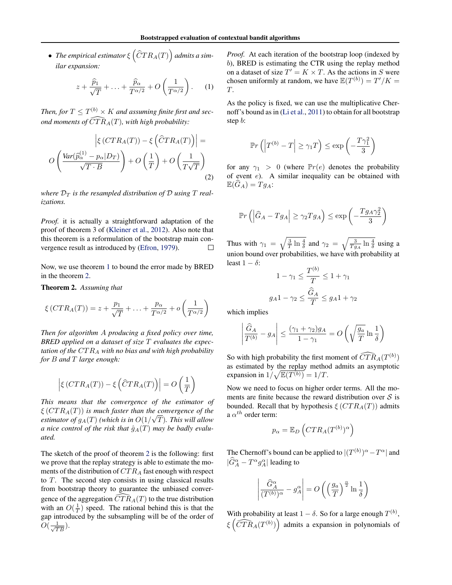$\bullet$  The empirical estimator  $\xi\left(\widehat{C}TR_A(T)\right)$  admits a sim*ilar expansion:*

$$
z + \frac{\widehat{p}_1}{\sqrt{T}} + \ldots + \frac{\widehat{p}_\alpha}{T^{\alpha/2}} + O\left(\frac{1}{T^{\alpha/2}}\right). \tag{1}
$$

Then, for  $T \leq T^{(b)} \times K$  and assuming finite first and sec*ond moments of*  $\widehat{CTR}_{A}(T)$ *, with high probability:* 

$$
\left| \xi \left( CTR_A(T) \right) - \xi \left( \hat{C}TR_A(T) \right) \right| =
$$
  

$$
O\left( \frac{Var(\hat{p}_{\alpha}^{(1)} - p_{\alpha}|D_T)}{\sqrt{T \cdot B}} \right) + O\left( \frac{1}{T} \right) + O\left( \frac{1}{T\sqrt{T}} \right)
$$
(2)

where  $\mathcal{D}_T$  *is the resampled distribution of*  $\mathcal{D}$  *using*  $T$  *realizations.*

*Proof.* it is actually a straightforward adaptation of the proof of theorem 3 of [\(Kleiner et al.,](#page-8-0) [2012\)](#page-8-0). Also note that this theorem is a reformulation of the bootstrap main convergence result as introduced by [\(Efron,](#page-8-0) [1979\)](#page-8-0).  $\Box$ 

Now, we use theorem [1](#page-4-0) to bound the error made by BRED in the theorem 2.

Theorem 2. *Assuming that*

$$
\xi\left(CTR_A(T)\right) = z + \frac{p_1}{\sqrt{T}} + \ldots + \frac{p_\alpha}{T^{\alpha/2}} + o\left(\frac{1}{T^{\alpha/2}}\right)
$$

*Then for algorithm* A *producing a fixed policy over time, BRED applied on a dataset of size* T *evaluates the expectation of the* CT R<sup>A</sup> *with no bias and with high probability for* B *and* T *large enough:*

$$
\left| \xi \left( CTR_A(T) \right) - \xi \left( \widehat{C}TR_A(T) \right) \right| = O\left( \frac{1}{T} \right)
$$

*This means that the convergence of the estimator of*  $\xi\left(CTR_A(T)\right)$  *is much faster than the convergence of the* estimator of  $g_A(T)$  (which is in  $O(1/\sqrt{T})$ ). This will allow *a nice control of the risk that*  $\hat{g}_A(T)$  *may be badly evaluated.*

The sketch of the proof of theorem 2 is the following: first we prove that the replay strategy is able to estimate the moments of the distribution of  $CTR_A$  fast enough with respect to T. The second step consists in using classical results from bootstrap theory to guarantee the unbiased convergence of the aggregation  $\widehat{CTR}_A(T)$  to the true distribution with an  $O(\frac{1}{T})$  speed. The rational behind this is that the gap introduced by the subsampling will be of the order of  $O(\frac{1}{\sqrt{TB}})$ .

*Proof.* At each iteration of the bootstrap loop (indexed by b), BRED is estimating the CTR using the replay method on a dataset of size  $T' = K \times T$ . As the actions in S were chosen uniformly at random, we have  $\mathbb{E}(T^{(b)}) = T'/K =$ T.

As the policy is fixed, we can use the multiplicative Chernoff's bound as in [\(Li et al.,](#page-8-0) [2011\)](#page-8-0) to obtain for all bootstrap step b:

$$
\mathbb{P}r\left(\left|T^{(b)}-T\right|\geq \gamma_1 T\right)\leq \exp\left(-\frac{T\gamma_1^2}{3}\right)
$$

for any  $\gamma_1 > 0$  (where  $\mathbb{P}r(e)$  denotes the probability of event  $e$ ). A similar inequality can be obtained with  $\mathbb{E}(G_A) = T g_A$ :

$$
\mathbb{P}r\left(\left|\widehat{G}_A - Tg_A\right| \ge \gamma_2 Tg_A\right) \le \exp\left(-\frac{Tg_A\gamma_2^2}{3}\right)
$$

Thus with  $\gamma_1 = \sqrt{\frac{3}{T} \ln \frac{4}{\delta}}$  and  $\gamma_2 = \sqrt{\frac{3}{Tg_A} \ln \frac{4}{\delta}}$  using a union bound over probabilities, we have with probability at least  $1 - \delta$ :

$$
1 - \gamma_1 \le \frac{T^{(b)}}{T} \le 1 + \gamma_1
$$

$$
g_A 1 - \gamma_2 \le \frac{\widehat{G}_A}{T} \le g_A 1 + \gamma_2
$$

which implies

$$
\left| \frac{\widehat{G}_A}{T^{(b)}} - g_A \right| \le \frac{(\gamma_1 + \gamma_2)g_A}{1 - \gamma_1} = O\left(\sqrt{\frac{g_a}{T}} \ln \frac{1}{\delta}\right)
$$

So with high probability the first moment of  $\widehat{CTR}_{A}(T^{(b)})$ as estimated by the replay method admits an asymptotic expansion in  $1/\sqrt{\mathbb{E}(T^{(b)})} = 1/T$ .

Now we need to focus on higher order terms. All the moments are finite because the reward distribution over  $S$  is bounded. Recall that by hypothesis  $\xi (CTR_A(T))$  admits a  $\alpha^{th}$  order term:

$$
p_{\alpha} = \mathbb{E}_D \left( CTR_A(T^{(b)})^{\alpha} \right)
$$

The Chernoff's bound can be applied to  $|(T^{(b)})^{\alpha} - T^{\alpha}|$  and  $|\widehat{G}_A^{\alpha} - T^{\alpha} g_A^{\alpha}|$  leading to

$$
\left| \frac{\widehat{G}_{A}^{\alpha}}{(T^{(b)})^{\alpha}} - g_{A}^{\alpha} \right| = O\left( \left( \frac{g_{a}}{T} \right)^{\frac{\alpha}{2}} \ln \frac{1}{\delta} \right)
$$

With probability at least  $1 - \delta$ . So for a large enough  $T^{(b)}$ ,  $\zeta\left(\widehat{CTR}_A(T^{(b)})\right)$  admits a expansion in polynomials of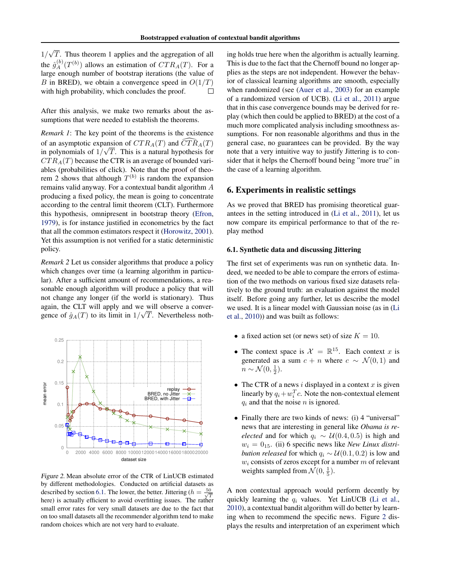<span id="page-6-0"></span>√ 1/ T. Thus theorem 1 applies and the aggregation of all the  $\hat{g}^{(b)}_A(T^{(b)})$  allows an estimation of  $CTR_A(T)$ . For a large enough number of bootstrap iterations (the value of B in BRED), we obtain a convergence speed in  $O(1/T)$ with high probability, which concludes the proof.  $\Box$ 

After this analysis, we make two remarks about the assumptions that were needed to establish the theorems.

*Remark 1*: The key point of the theorems is the existence of an asymptotic expansion of  $CTR_A(T)$  and  $\widehat{CTR}_A(T)$ in polynomials of  $1/\sqrt{T}$ . This is a natural hypothesis for  $CTR_A(T)$  because the CTR is an average of bounded variables (probabilities of click). Note that the proof of theorem 2 shows that although  $T^{(b)}$  is random the expansion remains valid anyway. For a contextual bandit algorithm A producing a fixed policy, the mean is going to concentrate according to the central limit theorem (CLT). Furthermore this hypothesis, omnipresent in bootstrap theory [\(Efron,](#page-8-0) [1979\)](#page-8-0), is for instance justified in econometrics by the fact that all the common estimators respect it [\(Horowitz,](#page-8-0) [2001\)](#page-8-0). Yet this assumption is not verified for a static deterministic policy.

*Remark 2* Let us consider algorithms that produce a policy which changes over time (a learning algorithm in particular). After a sufficient amount of recommendations, a reasonable enough algorithm will produce a policy that will not change any longer (if the world is stationary). Thus again, the CLT will apply and we will observe a convergence of  $\hat{g}_A(T)$  to its limit in  $1/\sqrt{T}$ . Nevertheless noth-



Figure 2. Mean absolute error of the CTR of LinUCB estimated by different methodologies. Conducted on artificial datasets as described by section 6.1. The lower, the better. Jittering ( $h = \frac{50}{\sqrt{T}}$ here) is actually efficient to avoid overfitting issues. The rather small error rates for very small datasets are due to the fact that on too small datasets all the recommender algorithm tend to make random choices which are not very hard to evaluate.

ing holds true here when the algorithm is actually learning. This is due to the fact that the Chernoff bound no longer applies as the steps are not independent. However the behavior of classical learning algorithms are smooth, especially when randomized (see [\(Auer et al.,](#page-8-0) [2003\)](#page-8-0) for an example of a randomized version of UCB). [\(Li et al.,](#page-8-0) [2011\)](#page-8-0) argue that in this case convergence bounds may be derived for replay (which then could be applied to BRED) at the cost of a much more complicated analysis including smoothness assumptions. For non reasonable algorithms and thus in the general case, no guarantees can be provided. By the way note that a very intuitive way to justify Jittering is to consider that it helps the Chernoff bound being "more true" in the case of a learning algorithm.

## 6. Experiments in realistic settings

As we proved that BRED has promising theoretical guarantees in the setting introduced in [\(Li et al.,](#page-8-0) [2011\)](#page-8-0), let us now compare its empirical performance to that of the replay method

#### 6.1. Synthetic data and discussing Jittering

The first set of experiments was run on synthetic data. Indeed, we needed to be able to compare the errors of estimation of the two methods on various fixed size datasets relatively to the ground truth: an evaluation against the model itself. Before going any further, let us describe the model we used. It is a linear model with Gaussian noise (as in [\(Li](#page-8-0) [et al.,](#page-8-0) [2010\)](#page-8-0)) and was built as follows:

- a fixed action set (or news set) of size  $K = 10$ .
- The context space is  $\mathcal{X} = \mathbb{R}^{15}$ . Each context x is generated as a sum  $c + n$  where  $c \sim \mathcal{N}(0, 1)$  and  $n \sim \mathcal{N}(0, \frac{1}{2}).$
- The CTR of a news  $i$  displayed in a context  $x$  is given linearly by  $q_i + w_i^T c$ . Note the non-contextual element  $q_i$  and that the noise n is ignored.
- Finally there are two kinds of news: (i) 4 "universal" news that are interesting in general like *Obama is reelected* and for which  $q_i \sim U(0.4, 0.5)$  is high and  $w_i = 0_{15}$ . (ii) 6 specific news like *New Linux distribution released* for which  $q_i \sim \mathcal{U}(0.1, 0.2)$  is low and  $w_i$  consists of zeros except for a number  $m$  of relevant weights sampled from  $\mathcal{N}(0, \frac{1}{5})$ .

A non contextual approach would perform decently by quickly learning the  $q_i$  values. Yet LinUCB [\(Li et al.,](#page-8-0) [2010\)](#page-8-0), a contextual bandit algorithm will do better by learning when to recommend the specific news. Figure 2 displays the results and interpretation of an experiment which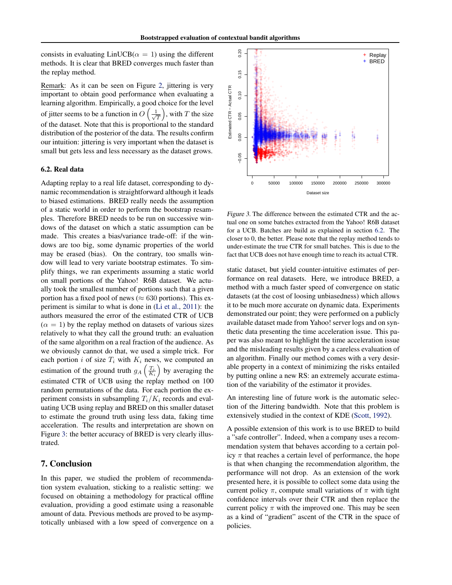consists in evaluating  $LinUCB(\alpha = 1)$  using the different methods. It is clear that BRED converges much faster than the replay method.

Remark: As it can be seen on Figure [2,](#page-6-0) jittering is very important to obtain good performance when evaluating a learning algorithm. Empirically, a good choice for the level of jitter seems to be a function in  $O\left(\frac{1}{\sqrt{n}}\right)$  $\left(\frac{L}{T}\right)$ , with T the size of the dataset. Note that this is proportional to the standard distribution of the posterior of the data. The results confirm our intuition: jittering is very important when the dataset is small but gets less and less necessary as the dataset grows.

#### 6.2. Real data

Adapting replay to a real life dataset, corresponding to dynamic recommendation is straightforward although it leads to biased estimations. BRED really needs the assumption of a static world in order to perform the bootstrap resamples. Therefore BRED needs to be run on successive windows of the dataset on which a static assumption can be made. This creates a bias/variance trade-off: if the windows are too big, some dynamic properties of the world may be erased (bias). On the contrary, too smalls window will lead to very variate bootstrap estimates. To simplify things, we ran experiments assuming a static world on small portions of the Yahoo! R6B dataset. We actually took the smallest number of portions such that a given portion has a fixed pool of news ( $\approx 630$  portions). This experiment is similar to what is done in [\(Li et al.,](#page-8-0) [2011\)](#page-8-0): the authors measured the error of the estimated CTR of UCB  $(\alpha = 1)$  by the replay method on datasets of various sizes relatively to what they call the ground truth: an evaluation of the same algorithm on a real fraction of the audience. As we obviously cannot do that, we used a simple trick. For each portion i of size  $T_i$  with  $K_i$  news, we computed an estimation of the ground truth  $g_A\left(\frac{T_i}{K_i}\right)$  by averaging the estimated CTR of UCB using the replay method on 100 random permutations of the data. For each portion the experiment consists in subsampling  $T_i/K_i$  records and evaluating UCB using replay and BRED on this smaller dataset to estimate the ground truth using less data, faking time acceleration. The results and interpretation are shown on Figure 3: the better accuracy of BRED is very clearly illustrated.

### 7. Conclusion

In this paper, we studied the problem of recommendation system evaluation, sticking to a realistic setting: we focused on obtaining a methodology for practical offline evaluation, providing a good estimate using a reasonable amount of data. Previous methods are proved to be asymptotically unbiased with a low speed of convergence on a



Figure 3. The difference between the estimated CTR and the actual one on some batches extracted from the Yahoo! R6B dataset for a UCB. Batches are build as explained in section 6.2. The closer to 0, the better. Please note that the replay method tends to under-estimate the true CTR for small batches. This is due to the fact that UCB does not have enough time to reach its actual CTR.

static dataset, but yield counter-intuitive estimates of performance on real datasets. Here, we introduce BRED, a method with a much faster speed of convergence on static datasets (at the cost of loosing unbiasedness) which allows it to be much more accurate on dynamic data. Experiments demonstrated our point; they were performed on a publicly available dataset made from Yahoo! server logs and on synthetic data presenting the time acceleration issue. This paper was also meant to highlight the time acceleration issue and the misleading results given by a careless evaluation of an algorithm. Finally our method comes with a very desirable property in a context of minimizing the risks entailed by putting online a new RS: an extremely accurate estimation of the variability of the estimator it provides.

An interesting line of future work is the automatic selection of the Jittering bandwidth. Note that this problem is extensively studied in the context of KDE [\(Scott,](#page-8-0) [1992\)](#page-8-0).

A possible extension of this work is to use BRED to build a "safe controller". Indeed, when a company uses a recommendation system that behaves according to a certain policy  $\pi$  that reaches a certain level of performance, the hope is that when changing the recommendation algorithm, the performance will not drop. As an extension of the work presented here, it is possible to collect some data using the current policy  $\pi$ , compute small variations of  $\pi$  with tight confidence intervals over their CTR and then replace the current policy  $\pi$  with the improved one. This may be seen as a kind of "gradient" ascent of the CTR in the space of policies.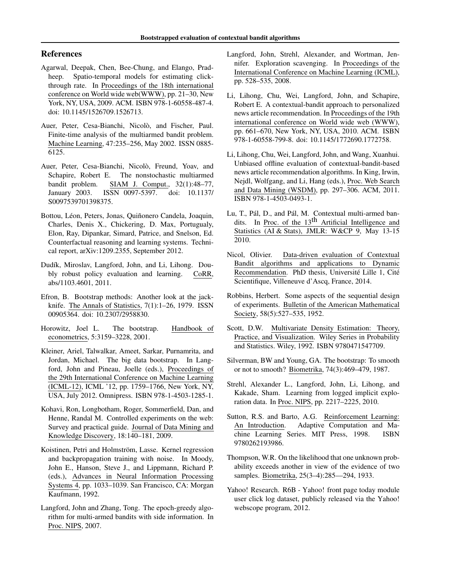# <span id="page-8-0"></span>References

- Agarwal, Deepak, Chen, Bee-Chung, and Elango, Pradheep. Spatio-temporal models for estimating clickthrough rate. In Proceedings of the 18th international conference on World wide web(WWW), pp. 21–30, New York, NY, USA, 2009. ACM. ISBN 978-1-60558-487-4. doi: 10.1145/1526709.1526713.
- Auer, Peter, Cesa-Bianchi, Nicolò, and Fischer, Paul. Finite-time analysis of the multiarmed bandit problem. Machine Learning, 47:235–256, May 2002. ISSN 0885- 6125.
- Auer, Peter, Cesa-Bianchi, Nicolò, Freund, Yoav, and Schapire, Robert E. The nonstochastic multiarmed bandit problem. SIAM J. Comput., 32(1):48–77, January 2003. ISSN 0097-5397. doi: 10.1137/ S0097539701398375.
- Bottou, Léon, Peters, Jonas, Quiñonero Candela, Joaquin, Charles, Denis X., Chickering, D. Max, Portugualy, Elon, Ray, Dipankar, Simard, Patrice, and Snelson, Ed. Counterfactual reasoning and learning systems. Technical report, arXiv:1209.2355, September 2012.
- Dudík, Miroslav, Langford, John, and Li, Lihong. Doubly robust policy evaluation and learning. CoRR, abs/1103.4601, 2011.
- Efron, B. Bootstrap methods: Another look at the jackknife. The Annals of Statistics, 7(1):1–26, 1979. ISSN 00905364. doi: 10.2307/2958830.
- Horowitz, Joel L. The bootstrap. Handbook of econometrics, 5:3159–3228, 2001.
- Kleiner, Ariel, Talwalkar, Ameet, Sarkar, Purnamrita, and Jordan, Michael. The big data bootstrap. In Langford, John and Pineau, Joelle (eds.), Proceedings of the 29th International Conference on Machine Learning (ICML-12), ICML '12, pp. 1759–1766, New York, NY, USA, July 2012. Omnipress. ISBN 978-1-4503-1285-1.
- Kohavi, Ron, Longbotham, Roger, Sommerfield, Dan, and Henne, Randal M. Controlled experiments on the web: Survey and practical guide. Journal of Data Mining and Knowledge Discovery, 18:140–181, 2009.
- Koistinen, Petri and Holmström, Lasse. Kernel regression and backpropagation training with noise. In Moody, John E., Hanson, Steve J., and Lippmann, Richard P. (eds.), Advances in Neural Information Processing Systems 4, pp. 1033–1039. San Francisco, CA: Morgan Kaufmann, 1992.
- Langford, John and Zhang, Tong. The epoch-greedy algorithm for multi-armed bandits with side information. In Proc. NIPS, 2007.
- Langford, John, Strehl, Alexander, and Wortman, Jennifer. Exploration scavenging. In Proceedings of the International Conference on Machine Learning (ICML), pp. 528–535, 2008.
- Li, Lihong, Chu, Wei, Langford, John, and Schapire, Robert E. A contextual-bandit approach to personalized news article recommendation. In Proceedings of the 19th international conference on World wide web (WWW), pp. 661–670, New York, NY, USA, 2010. ACM. ISBN 978-1-60558-799-8. doi: 10.1145/1772690.1772758.
- Li, Lihong, Chu, Wei, Langford, John, and Wang, Xuanhui. Unbiased offline evaluation of contextual-bandit-based news article recommendation algorithms. In King, Irwin, Nejdl, Wolfgang, and Li, Hang (eds.), Proc. Web Search and Data Mining (WSDM), pp. 297–306. ACM, 2011. ISBN 978-1-4503-0493-1.
- Lu, T., Pál, D., and Pál, M. Contextual multi-armed bandits. In Proc. of the 13<sup>th</sup> Artificial Intelligence and Statistics (AI & Stats), JMLR: W&CP 9, May 13-15 2010.
- Nicol, Olivier. Data-driven evaluation of Contextual Bandit algorithms and applications to Dynamic Recommendation. PhD thesis, Université Lille 1, Cité Scientifique, Villeneuve d'Ascq, France, 2014.
- Robbins, Herbert. Some aspects of the sequential design of experiments. Bulletin of the American Mathematical Society, 58(5):527–535, 1952.
- Scott, D.W. Multivariate Density Estimation: Theory, Practice, and Visualization. Wiley Series in Probability and Statistics. Wiley, 1992. ISBN 9780471547709.
- Silverman, BW and Young, GA. The bootstrap: To smooth or not to smooth? Biometrika, 74(3):469–479, 1987.
- Strehl, Alexander L., Langford, John, Li, Lihong, and Kakade, Sham. Learning from logged implicit exploration data. In Proc. NIPS, pp. 2217–2225, 2010.
- Sutton, R.S. and Barto, A.G. Reinforcement Learning: An Introduction. Adaptive Computation and Machine Learning Series. MIT Press, 1998. ISBN 9780262193986.
- Thompson, W.R. On the likelihood that one unknown probability exceeds another in view of the evidence of two samples. Biometrika, 25(3–4):285––294, 1933.
- Yahoo! Research. R6B Yahoo! front page today module user click log dataset, publicly released via the Yahoo! webscope program, 2012.